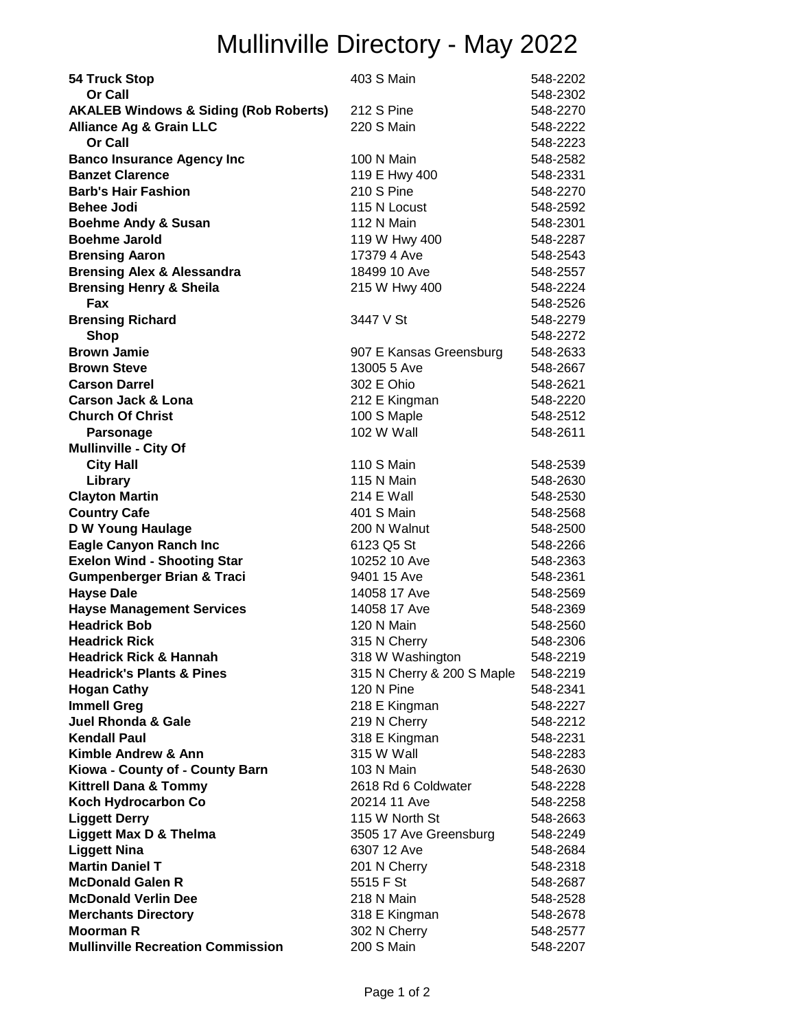## Mullinville Directory - May 2022

| 54 Truck Stop                                           | 403 S Main                       | 548-2202             |
|---------------------------------------------------------|----------------------------------|----------------------|
| <b>Or Call</b>                                          |                                  | 548-2302             |
| <b>AKALEB Windows &amp; Siding (Rob Roberts)</b>        | 212 S Pine                       | 548-2270             |
| <b>Alliance Ag &amp; Grain LLC</b>                      | 220 S Main                       | 548-2222             |
| Or Call                                                 |                                  | 548-2223             |
| <b>Banco Insurance Agency Inc</b>                       | 100 N Main                       | 548-2582             |
| <b>Banzet Clarence</b>                                  | 119 E Hwy 400                    | 548-2331             |
| <b>Barb's Hair Fashion</b>                              | <b>210 S Pine</b>                | 548-2270             |
| <b>Behee Jodi</b>                                       | 115 N Locust                     | 548-2592             |
| <b>Boehme Andy &amp; Susan</b>                          | 112 N Main                       | 548-2301             |
| <b>Boehme Jarold</b>                                    | 119 W Hwy 400                    | 548-2287             |
| <b>Brensing Aaron</b>                                   | 17379 4 Ave                      | 548-2543             |
| <b>Brensing Alex &amp; Alessandra</b>                   | 18499 10 Ave                     | 548-2557             |
| <b>Brensing Henry &amp; Sheila</b>                      | 215 W Hwy 400                    | 548-2224             |
| Fax                                                     |                                  | 548-2526             |
| <b>Brensing Richard</b>                                 | 3447 V St                        | 548-2279             |
| <b>Shop</b>                                             |                                  | 548-2272             |
| <b>Brown Jamie</b>                                      | 907 E Kansas Greensburg          | 548-2633             |
| <b>Brown Steve</b>                                      | 13005 5 Ave                      | 548-2667             |
| <b>Carson Darrel</b>                                    | 302 E Ohio                       | 548-2621             |
| Carson Jack & Lona                                      | 212 E Kingman                    | 548-2220             |
| <b>Church Of Christ</b>                                 | 100 S Maple                      | 548-2512             |
| <b>Parsonage</b>                                        | 102 W Wall                       | 548-2611             |
| <b>Mullinville - City Of</b>                            |                                  |                      |
| <b>City Hall</b>                                        | 110 S Main                       | 548-2539             |
| Library                                                 | 115 N Main                       | 548-2630             |
| <b>Clayton Martin</b>                                   | 214 E Wall                       | 548-2530             |
| <b>Country Cafe</b>                                     | 401 S Main                       | 548-2568             |
| D W Young Haulage                                       | 200 N Walnut                     | 548-2500             |
| <b>Eagle Canyon Ranch Inc</b>                           | 6123 Q5 St                       | 548-2266             |
| <b>Exelon Wind - Shooting Star</b>                      | 10252 10 Ave                     | 548-2363             |
| <b>Gumpenberger Brian &amp; Traci</b>                   | 9401 15 Ave                      | 548-2361             |
| <b>Hayse Dale</b>                                       | 14058 17 Ave                     | 548-2569             |
| <b>Hayse Management Services</b><br><b>Headrick Bob</b> | 14058 17 Ave<br>120 N Main       | 548-2369             |
| <b>Headrick Rick</b>                                    |                                  | 548-2560<br>548-2306 |
| <b>Headrick Rick &amp; Hannah</b>                       | 315 N Cherry<br>318 W Washington | 548-2219             |
| <b>Headrick's Plants &amp; Pines</b>                    | 315 N Cherry & 200 S Maple       | 548-2219             |
| <b>Hogan Cathy</b>                                      | 120 N Pine                       | 548-2341             |
| <b>Immell Greg</b>                                      | 218 E Kingman                    | 548-2227             |
| <b>Juel Rhonda &amp; Gale</b>                           | 219 N Cherry                     | 548-2212             |
| <b>Kendall Paul</b>                                     | 318 E Kingman                    | 548-2231             |
| Kimble Andrew & Ann                                     | 315 W Wall                       | 548-2283             |
| Kiowa - County of - County Barn                         | 103 N Main                       | 548-2630             |
| <b>Kittrell Dana &amp; Tommy</b>                        | 2618 Rd 6 Coldwater              | 548-2228             |
| Koch Hydrocarbon Co                                     | 20214 11 Ave                     | 548-2258             |
| <b>Liggett Derry</b>                                    | 115 W North St                   | 548-2663             |
| Liggett Max D & Thelma                                  | 3505 17 Ave Greensburg           | 548-2249             |
| <b>Liggett Nina</b>                                     | 6307 12 Ave                      | 548-2684             |
| <b>Martin Daniel T</b>                                  | 201 N Cherry                     | 548-2318             |
| <b>McDonald Galen R</b>                                 | 5515 F St                        | 548-2687             |
| <b>McDonald Verlin Dee</b>                              | 218 N Main                       | 548-2528             |
| <b>Merchants Directory</b>                              | 318 E Kingman                    | 548-2678             |
| <b>Moorman R</b>                                        | 302 N Cherry                     | 548-2577             |
| <b>Mullinville Recreation Commission</b>                | 200 S Main                       | 548-2207             |